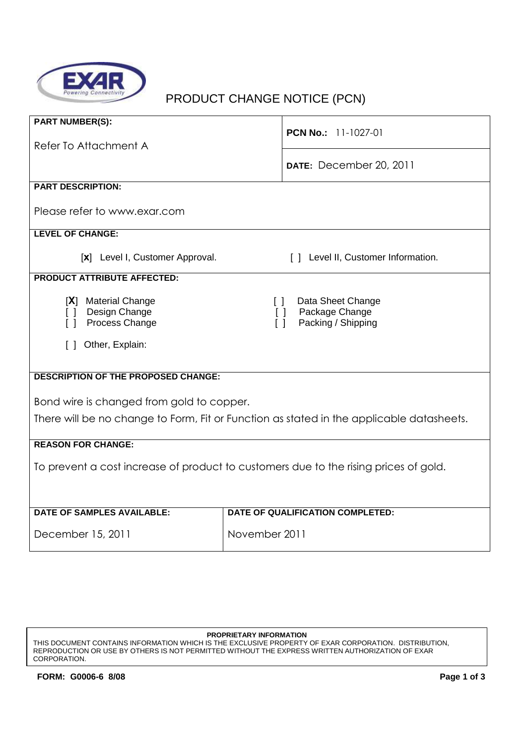

# PRODUCT CHANGE NOTICE (PCN)

| <b>PART NUMBER(S):</b>                                                                   |                                                                                         |  |  |
|------------------------------------------------------------------------------------------|-----------------------------------------------------------------------------------------|--|--|
| Refer To Attachment A                                                                    | <b>PCN No.:</b> 11-1027-01                                                              |  |  |
|                                                                                          |                                                                                         |  |  |
|                                                                                          | DATE: December 20, 2011                                                                 |  |  |
| <b>PART DESCRIPTION:</b>                                                                 |                                                                                         |  |  |
| Please refer to www.exar.com                                                             |                                                                                         |  |  |
| <b>LEVEL OF CHANGE:</b>                                                                  |                                                                                         |  |  |
| [x] Level I, Customer Approval.                                                          | [] Level II, Customer Information.                                                      |  |  |
| <b>PRODUCT ATTRIBUTE AFFECTED:</b>                                                       |                                                                                         |  |  |
| [X] Material Change<br>Design Change<br>ΙI<br>Process Change<br>ΓI                       | Data Sheet Change<br>$\Box$<br>Package Change<br>$\Box$<br>Packing / Shipping<br>$\Box$ |  |  |
| Other, Explain:<br>$\Box$                                                                |                                                                                         |  |  |
|                                                                                          |                                                                                         |  |  |
| <b>DESCRIPTION OF THE PROPOSED CHANGE:</b>                                               |                                                                                         |  |  |
| Bond wire is changed from gold to copper.                                                |                                                                                         |  |  |
| There will be no change to Form, Fit or Function as stated in the applicable datasheets. |                                                                                         |  |  |
|                                                                                          |                                                                                         |  |  |
| <b>REASON FOR CHANGE:</b>                                                                |                                                                                         |  |  |
| To prevent a cost increase of product to customers due to the rising prices of gold.     |                                                                                         |  |  |
|                                                                                          |                                                                                         |  |  |
| <b>DATE OF SAMPLES AVAILABLE:</b>                                                        | DATE OF QUALIFICATION COMPLETED:                                                        |  |  |
|                                                                                          |                                                                                         |  |  |
| December 15, 2011                                                                        | November 2011                                                                           |  |  |

#### **PROPRIETARY INFORMATION**

THIS DOCUMENT CONTAINS INFORMATION WHICH IS THE EXCLUSIVE PROPERTY OF EXAR CORPORATION. DISTRIBUTION, REPRODUCTION OR USE BY OTHERS IS NOT PERMITTED WITHOUT THE EXPRESS WRITTEN AUTHORIZATION OF EXAR CORPORATION.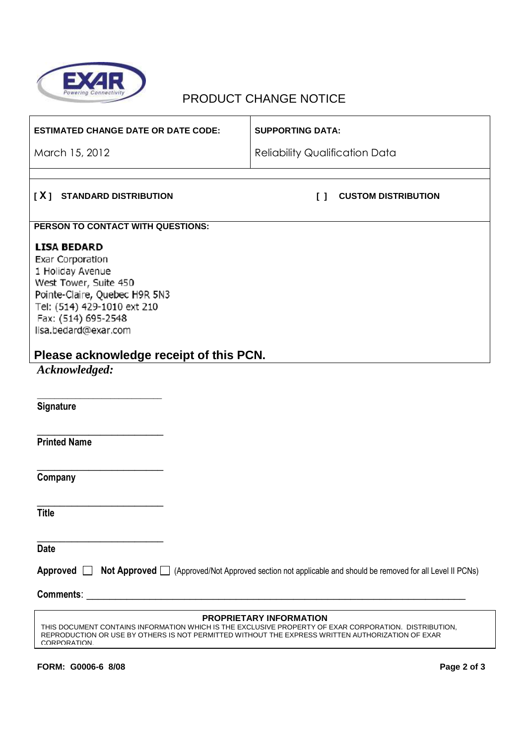

# PRODUCT CHANGE NOTICE

| <b>ESTIMATED CHANGE DATE OR DATE CODE:</b>                                                                                                                                                                                                                            | <b>SUPPORTING DATA:</b>                                                                                                 |
|-----------------------------------------------------------------------------------------------------------------------------------------------------------------------------------------------------------------------------------------------------------------------|-------------------------------------------------------------------------------------------------------------------------|
| March 15, 2012                                                                                                                                                                                                                                                        | <b>Reliability Qualification Data</b>                                                                                   |
|                                                                                                                                                                                                                                                                       |                                                                                                                         |
| [X] STANDARD DISTRIBUTION                                                                                                                                                                                                                                             | <b>CUSTOM DISTRIBUTION</b><br>$\Box$                                                                                    |
| PERSON TO CONTACT WITH QUESTIONS:                                                                                                                                                                                                                                     |                                                                                                                         |
| <b>LISA BEDARD</b><br><b>Exar Corporation</b><br>1 Holiday Avenue<br>West Tower, Suite 450<br>Pointe-Claire, Quebec H9R 5N3<br>Tel: (514) 429-1010 ext 210<br>Fax: (514) 695-2548<br>lisa.bedard@exar.com<br>Please acknowledge receipt of this PCN.<br>Acknowledged: |                                                                                                                         |
| Signature                                                                                                                                                                                                                                                             |                                                                                                                         |
| <b>Printed Name</b>                                                                                                                                                                                                                                                   |                                                                                                                         |
| Company                                                                                                                                                                                                                                                               |                                                                                                                         |
| <b>Title</b>                                                                                                                                                                                                                                                          |                                                                                                                         |
| <b>Date</b>                                                                                                                                                                                                                                                           |                                                                                                                         |
|                                                                                                                                                                                                                                                                       | Approved <b>Not Approved</b> (Approved/Not Approved section not applicable and should be removed for all Level II PCNs) |
|                                                                                                                                                                                                                                                                       |                                                                                                                         |
| THIS DOCUMENT CONTAINS INFORMATION WHICH IS THE EXCLUSIVE PROPERTY OF EXAR CORPORATION. DISTRIBUTION,<br>REPRODUCTION OR USE BY OTHERS IS NOT PERMITTED WITHOUT THE EXPRESS WRITTEN AUTHORIZATION OF EXAR<br><b>CORPORATION</b>                                       | PROPRIETARY INFORMATION                                                                                                 |